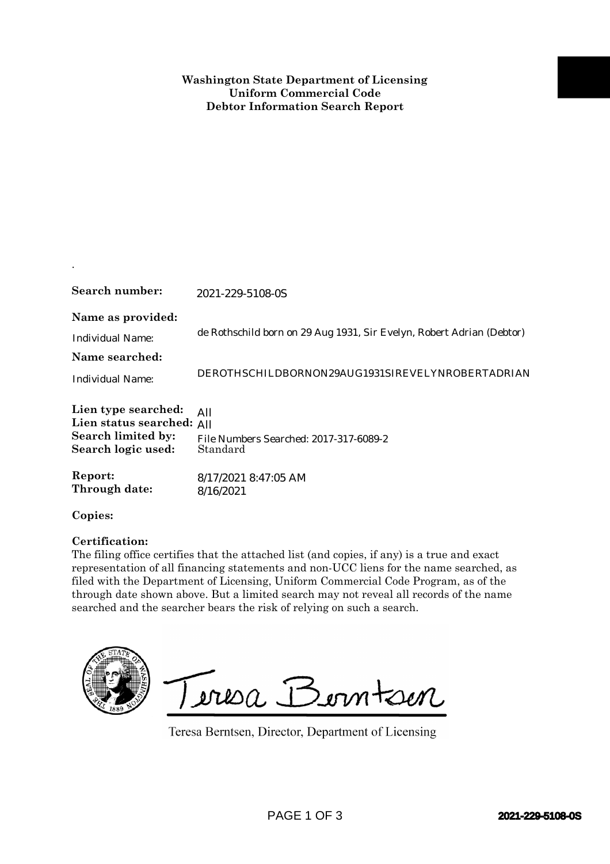| Search number:                                                                                                                                                                                                                                                                                                                                                                                                                                                  | 2021-229-5108-0S                                                      |                         |
|-----------------------------------------------------------------------------------------------------------------------------------------------------------------------------------------------------------------------------------------------------------------------------------------------------------------------------------------------------------------------------------------------------------------------------------------------------------------|-----------------------------------------------------------------------|-------------------------|
| Name as provided:<br><b>Individual Name:</b><br>Name searched:                                                                                                                                                                                                                                                                                                                                                                                                  | de Rothschild born on 29 Aug 1931, Sir Evelyn, Robert Adrian (Debtor) |                         |
| <b>Individual Name:</b>                                                                                                                                                                                                                                                                                                                                                                                                                                         | DEROTHSCHILDBORNON29AUG1931SIREVELYNROBERTADRIAN                      |                         |
| Lien type searched:<br>Lien status searched: All<br>Search limited by:<br>Search logic used:                                                                                                                                                                                                                                                                                                                                                                    | All<br>File Numbers Searched: 2017-317-6089-2<br>Standard             |                         |
| Report:<br>Through date:                                                                                                                                                                                                                                                                                                                                                                                                                                        | 8/17/2021 8:47:05 AM<br>8/16/2021                                     |                         |
| Copies:                                                                                                                                                                                                                                                                                                                                                                                                                                                         |                                                                       |                         |
| Certification:<br>The filing office certifies that the attached list (and copies, if any) is a true and exact<br>representation of all financing statements and non-UCC liens for the name searched, as<br>filed with the Department of Licensing, Uniform Commercial Code Program, as of the<br>through date shown above. But a limited search may not reveal all records of the name<br>searched and the searcher bears the risk of relying on such a search. |                                                                       |                         |
|                                                                                                                                                                                                                                                                                                                                                                                                                                                                 | Jeresa Berntsen<br>Teresa Berntsen, Director, Department of Licensing |                         |
|                                                                                                                                                                                                                                                                                                                                                                                                                                                                 | PAGE 1 OF 3                                                           | <b>2021-229-5108-0S</b> |

## **Certification:**

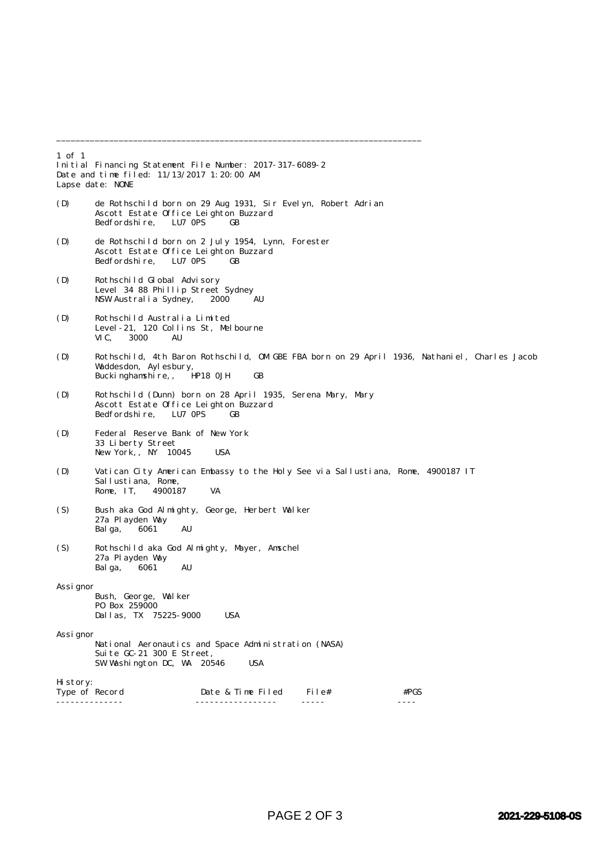1 of 1 Initial Financing Statement File Number: 2017-317-6089-2 Date and time filed: 11/13/2017 1:20:00 AM Lapse date: NONE (D) de Rothschild born on 29 Aug 1931, Sir Evelyn, Robert Adrian Ascott Estate Office Leighton Buzzard<br>Bedfordshire. LU7 OPS GB Bedfordshire. (D) de Rothschild born on 2 July 1954, Lynn, Forester Ascott Estate Office Leighton Buzzard Bedfordshire, LU7 OPS GB (D) Rothschild Global Advisory Level 34 88 Phillip Street Sydney<br>NSW Australia Sydney, 2000 AU NSW Australia Sydney, (D) Rothschild Australia Limited Level-21, 120 Collins St, Melbourne 3000 AU (D) Rothschild, 4th Baron Rothschild, OM GBE FBA born on 29 April 1936, Nathaniel, Charles Jacob Waddesdon, Aylesbury, Buckinghamshire,, HP18 0JH GB (D) Rothschild (Dunn) born on 28 April 1935, Serena Mary, Mary Ascott Estate Office Leighton Buzzard Bedfordshire, LU7 0PS GB (D) Federal Reserve Bank of New York 33 Liberty Street New York, NY 10045 USA (D) Vatican City American Embassy to the Holy See via Sallustiana, Rome, 4900187 IT Sallustiana, Rome,<br>Rome, IT. 4900187 Rome, IT, 4900187 VA (S) Bush aka God Almighty, George, Herbert Walker 27a Playden Way Balga, 6061 AU (S) Rothschild aka God Almighty, Mayer, Amschel 27a Playden Way<br>Balga, 6061 Balga,  $6061$  AU Assignor Bush, George, Walker PO Box 259000 Dallas, TX 75225-9000 USA Assignor National Aeronautics and Space Administration (NASA) Suite GC-21 300 E Street, SW Washington DC, WA 20546 USA History:<br>Type of Record Date & Time Filed File#  $#PGS$ -------------- ----------------- ----- ----

\_\_\_\_\_\_\_\_\_\_\_\_\_\_\_\_\_\_\_\_\_\_\_\_\_\_\_\_\_\_\_\_\_\_\_\_\_\_\_\_\_\_\_\_\_\_\_\_\_\_\_\_\_\_\_\_\_\_\_\_\_\_\_\_\_\_\_\_\_\_\_\_\_\_\_\_